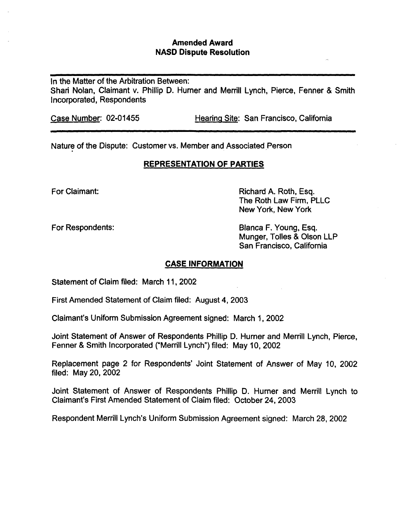## Amended Award NASD Dispute Resolution

In the Matter of the Arbitration Between: Shari Nolan, Claimant v. Phillip D. Hurner and Merrill Lynch, Pierce, Fenner & Smith Incorporated, Respondents

Case Number: 02-01455 Hearing Site: San Francisco, California

Nature of the Dispute: Customer vs. Member and Associated Person

## REPRESENTATION OF PARTIES

For Claimant: **Richard A. Roth, Esq. Richard A. Roth, Esq.** The Roth Law Firm, PLLC New York, New York

For Respondents: Blanca F. Young, Esq. Munger, Tolles & Olson LLP San Francisco, California

## CASE INFORMATION

Statement of Claim filed: March 11, 2002

First Amended Statement of Claim filed: August 4, 2003

Claimant's Uniform Submission Agreement signed: March 1, 2002

Joint Statement of Answer of Respondents Phillip D. Hurner and Merrill Lynch, Pierce, Fenner & Smith Incorporated ("Merrill Lynch") filed: May 10, 2002

Replacement page 2 for Respondents' Joint Statement of Answer of May 10, 2002 filed: May 20, 2002

Joint Statement of Answer of Respondents Phillip D. Hurner and Merrill Lynch to Claimant's First Amended Statement of Claim filed: October 24, 2003

Respondent Merrill Lynch's Uniform Submission Agreement signed: March 28, 2002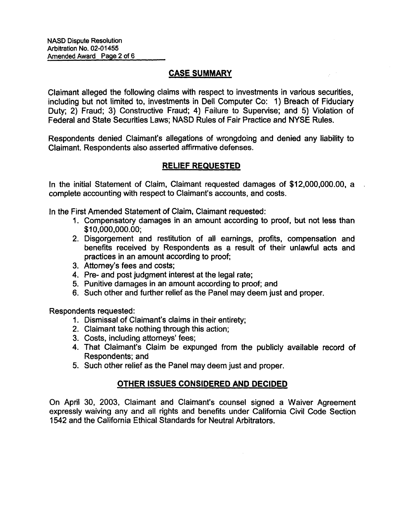# CASE SUMMARY

Claimant alleged the following claims with respect to investments in various securities, including but not limited to, investments in Dell Computer Co: 1) Breach of Fiduciary Duty; 2) Fraud; 3) Constructive Fraud; 4) Failure to Supervise; and 5) Violation of Federal and State Securities Laws; NASD Rules of Fair Practice and NYSE Rules.

Respondents denied Claimant's allegations of wrongdoing and denied any liability to Claimant. Respondents also asserted affirmative defenses.

## RELIEF REQUESTED

In the initial Statement of Claim, Claimant requested damages of \$12,000,000.00, a complete accounting with respect to Claimant's accounts, and costs.

In the First Amended Statement of Claim, Claimant requested:

- 1. Compensatory damages in an amount according to proof, but not less than \$10,000,000.00;
- 2. Disgorgement and restitution of all earnings, profits, compensation and benefits received by Respondents as a result of their unlawful acts and practices in an amount according to proof;
- 3. Attorney's fees and costs;
- 4. Pre- and post judgment interest at the legal rate;
- 5. Punitive damages in an amount according to proof; and
- 6. Such other and further relief as the Panel may deem just and proper.

Respondents requested:

- 1. Dismissal of Claimant's claims in their entirety;
- 2. Claimant take nothing through this action;
- 3. Costs, including attorneys' fees;
- 4. That Claimant's Claim be expunged from the publicly available record of Respondents; and
- 5. Such other relief as the Panel may deem just and proper.

# OTHER ISSUES CONSIDERED AND DECIDED

On April 30, 2003, Claimant and Claimant's counsel signed a Waiver Agreement expressly waiving any and all rights and benefits under California Civil Code Section 1542 and the California Ethical Standards for Neutral Arbitrators.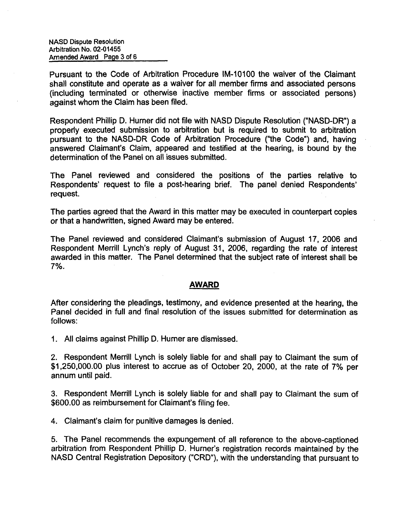Pursuant to the Code of Arbitration Procedure IM-10100 the waiver of the Claimant shall constitute and operate as a waiver for all member firms and associated persons (including terminated or otherwise inactive member firms or associated persons) against whom the Claim has been filed.

Respondent Phillip D. Hurner did not file with NASD Dispute Resolution ("NASD-DR") a property executed submission to arbitration but is required to submit to arbitration pursuant to the NASD-DR Code of Arbitration Procedure ("the Code") and, having answered Claimant's Claim, appeared and testified at the hearing, is bound by the determination of the Panel on all issues submitted.

The Panel reviewed and considered the positions of the parties relative to Respondents' request to file a post-hearing brief. The panel denied Respondents' request.

The parties agreed that the Award in this matter may be executed in counterpart copies or that a handwritten, signed Award may be entered.

The Panel reviewed and considered Claimant's submission of August 17, 2006 and Respondent Merrill Lynch's reply of August 31, 2006, regarding the rate of interest awarded in this matter. The Panel determined that the subject rate of interest shall be 7%.

### AWARD

After considering the pleadings, testimony, and evidence presented at the hearing, the Panel decided in full and final resolution of the issues submitted for determination as follows:

1. All claims against Phillip D. Humer are dismissed.

2. Respondent Merrill Lynch is solely liable for and shall pay to Claimant the sum of \$1,250,000.00 plus interest to accrue as of October 20, 2000, at the rate of 7% per annum until paid.

3. Respondent Merrill Lynch is solely liable for and shall pay to Claimant the sum of \$600.00 as reimbursement for Claimant's filing fee.

4. Claimant's claim for punitive damages is denied.

5. The Panel recommends the expungement of all reference to the above-captioned arbitration from Respondent Phillip D. Hurner's registration records maintained by the NASD Central Registration Depository ("CRD"), with the understanding that pursuant to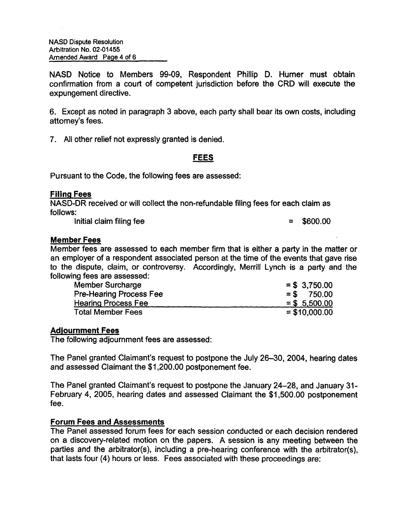NASD Notice to Members 99-09, Respondent Phillip D. Hurner must obtain confirmation from a court of competent jurisdiction before the CRD will execute the expungement directive.

6. Except as noted in paragraph 3 above, each party shall bear its own costs, including attorney's fees.

7. All other relief not expressly granted is denied.

## FEES

Pursuant to the Code, the following fees are assessed:

## Filing Fees

NASD-DR received or will collect the non-refundable filing fees for each claim as follows:

 $Initial claim filing fee$   $=$   $$600.00$ 

### Member Fees

Member fees are assessed to each member firm that is either a party in the matter or an employer of a respondent associated person at the time of the events that gave rise to the dispute, claim, or controversy. Accordingly, Merrill Lynch is a party and the following fees are assessed:

| <b>Member Surcharge</b>        | $=$ \$ 3,750.00 |
|--------------------------------|-----------------|
| <b>Pre-Hearing Process Fee</b> | $=$ \$ 750.00   |
| <b>Hearing Process Fee</b>     | $=$ \$ 5,500.00 |
| <b>Total Member Fees</b>       | $=$ \$10,000.00 |

### Adjournment Fees

The following adjournment fees are assessed:

The Panel granted Claimant's request to postpone the July 26-30, 2004, hearing dates and assessed Claimant the \$1,200.00 postponement fee.

The Panel granted Claimant's request to postpone the January 24-28, and January 31- February 4, 2005, hearing dates and assessed Claimant the \$1,500.00 postponement fee.

### Forum Fees and Assessments

The Panel assessed forum fees for each session conducted or each decision rendered on a discovery-related motion on the papers. A session is any meeting between the parties and the arbitrator(s), including a pre-hearing conference with the arbitrator(s), that lasts four (4) hours or less. Fees associated with these proceedings are: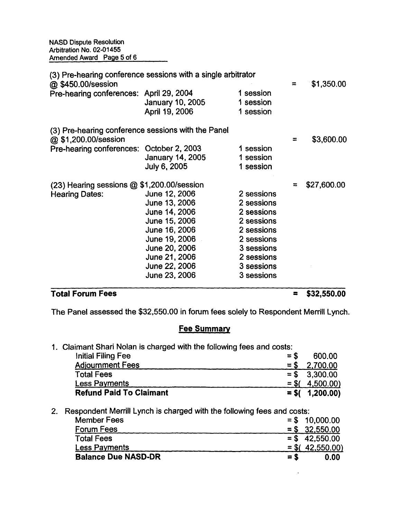| @ \$450.00/session                                 | (3) Pre-hearing conference sessions with a single arbitrator |            | $\approx$ | \$1,350.00  |
|----------------------------------------------------|--------------------------------------------------------------|------------|-----------|-------------|
| Pre-hearing conferences: April 29, 2004            |                                                              | 1 session  |           |             |
|                                                    | January 10, 2005                                             | 1 session  |           |             |
|                                                    | April 19, 2006                                               | 1 session  |           |             |
| (3) Pre-hearing conference sessions with the Panel |                                                              |            |           |             |
| @ \$1,200.00/session                               |                                                              |            | $\equiv$  | \$3,600.00  |
| Pre-hearing conferences: October 2, 2003           |                                                              | 1 session  |           |             |
|                                                    | January 14, 2005                                             | 1 session  |           |             |
|                                                    | <b>July 6, 2005</b>                                          | 1 session  |           |             |
| (23) Hearing sessions @ \$1,200.00/session         |                                                              |            | ≈         | \$27,600.00 |
| <b>Hearing Dates:</b>                              | June 12, 2006                                                | 2 sessions |           |             |
|                                                    | June 13, 2006                                                | 2 sessions |           |             |
|                                                    | June 14, 2006                                                | 2 sessions |           |             |
|                                                    | June 15, 2006                                                | 2 sessions |           |             |
|                                                    | June 16, 2006                                                | 2 sessions |           |             |
|                                                    | June 19, 2006                                                | 2 sessions |           |             |
|                                                    | June 20, 2006                                                | 3 sessions |           |             |
|                                                    | June 21, 2006                                                | 2 sessions |           |             |
|                                                    | June 22, 2006                                                | 3 sessions |           |             |
|                                                    | June 23, 2006                                                | 3 sessions |           |             |
|                                                    |                                                              |            |           |             |

# Total Forum Fees = \$32,550.00

The Panel assessed the \$32,550.00 in forum fees solely to Respondent Merrill Lynch.

# Fee Summary

1. Claimant Shari Nolan is charged with the following fees and costs:

| Initial Filing Fee             | $=$ \$ | 600.00            |
|--------------------------------|--------|-------------------|
| <b>Adjournment Fees</b>        |        | $=$ \$ 2.700.00   |
| <b>Total Fees</b>              |        | $=$ \$ 3.300.00   |
| <b>Less Payments</b>           |        | $=$ \$( 4.500.00) |
| <b>Refund Paid To Claimant</b> |        | $=$ \$( 1,200.00) |

2. Respondent Merrill Lynch is charged with the following fees and costs:

| <b>Member Fees</b>         |       | $=$ \$ 10,000.00  |
|----------------------------|-------|-------------------|
| <b>Forum Fees</b>          |       | $= $32,550.00$    |
| <b>Total Fees</b>          |       | $=$ \$ 42,550.00  |
| <b>Less Payments</b>       |       | $=$ \$(42,550.00) |
| <b>Balance Due NASD-DR</b> | $=$ S | 0.00              |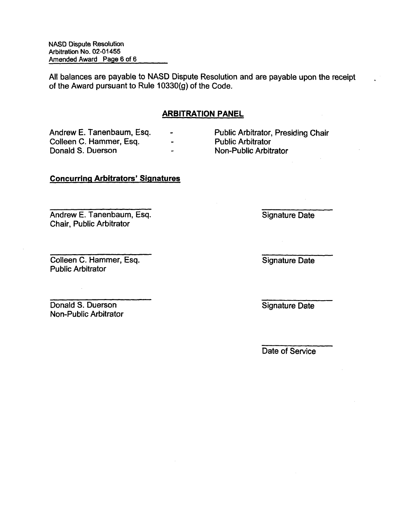All balances are payable to NASD Dispute Resolution and are payable upon the receipt of the Award pursuant to Rule 10330(g) of the Code.

## ARBITRATION PANEL

Colleen C. Hammer, Esq. - - Public Arbitrator Collection -

Andrew E. Tanenbaum, Esq.  $\cdot$  Public Arbitrator, Presiding Chair<br>Colleen C. Hammer. Esq.  $\cdot$  Public Arbitrator Non-Public Arbitrator

# Concurring Arbitrators' Signatures

Andrew E. Tanenbaum, Esq. Signature Date Chair, Public Arbitrator

**Colleen C. Hammer, Esq. Signature Date** Public Arbitrator

Donald S. Duerson Signature Date Signature Date Non-Public Arbitrator

Date of Service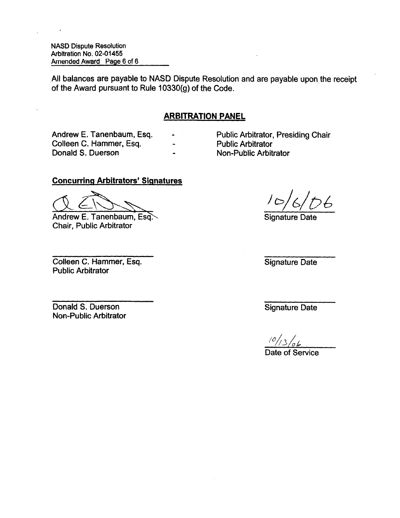All balances are payable to NASD Dispute Resolution and are payable upon the receipt of the Award pursuant to Rule 10330(g) of the Code.

## ARBITRATION PANEL

Colleen C. Hammer, Esq. The Colleen C. Hammer, Esq. The Collection Public Arbitrator Donald S. Duerson

Andrew E. Tanenbaum, Esq. - Public Arbitrator, Presiding Chair

Non-Public Arbitrator

## Concurring Arbitrators' Signatures

Andrew E. Tanenbaum, Esq. Signature Date Chair, Public Arbitrator

**Colleen C. Hammer, Esq. Signature Date** Public Arbitrator

**Donald S. Duerson** Signature Date Non-Public Arbitrator

56

l ok  $10/13$ 

Date of Service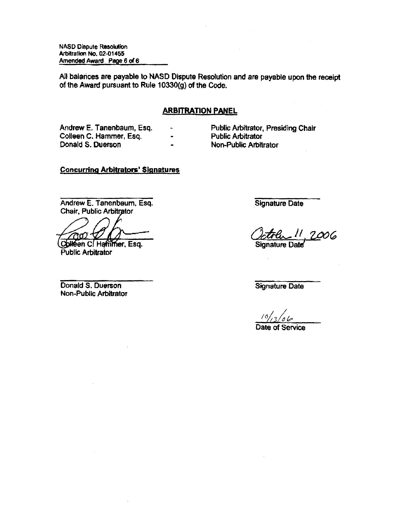All balances are payable to NASD Dispute Resolution and are payable upon the receipt of the Award pursuant to Rule 10330{g) of the Code.

### ARBITRATION PANEL

 $\overline{a}$ 

Andrew E. Tanenbaum, Esq. Colleen C. Hammer, Esq. Donald S. Duerson

- Public Arbitrator, Presiding Chair Public Arbitrator
- Non-Public Arbitrator

## Concurring Arbitrators' Signatures

Andrew E. Tanenbaum, Esq. Chair, Public Arbitrator

mm)

Colleen C. Hammer, Esq. Public Arbitrator

Donald S. Duerson Non-Public Arbitrator Signature Date

 $11,2006$ Signature Date

Signature Date

Date of Service